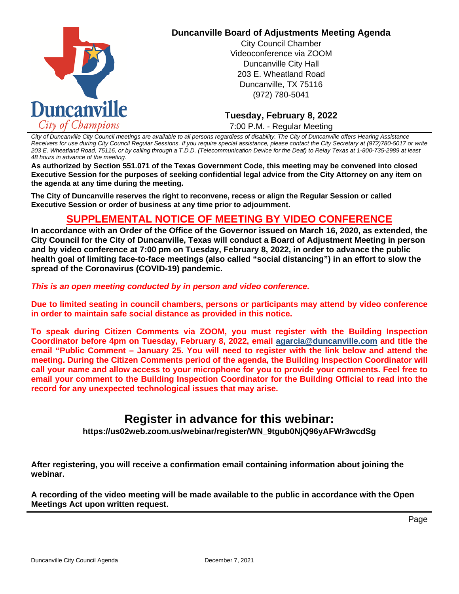

## **Duncanville Board of Adjustments Meeting Agenda**

City Council Chamber Videoconference via ZOOM Duncanville City Hall 203 E. Wheatland Road Duncanville, TX 75116 (972) 780-5041

**Tuesday, February 8, 2022** 7:00 P.M. - Regular Meeting

*City of Duncanville City Council meetings are available to all persons regardless of disability. The City of Duncanville offers Hearing Assistance Receivers for use during City Council Regular Sessions. If you require special assistance, please contact the City Secretary at (972)780-5017 or write 203 E. Wheatland Road, 75116, or by calling through a T.D.D. (Telecommunication Device for the Deaf) to Relay Texas at 1-800-735-2989 at least 48 hours in advance of the meeting.* 

**As authorized by Section 551.071 of the Texas Government Code, this meeting may be convened into closed Executive Session for the purposes of seeking confidential legal advice from the City Attorney on any item on the agenda at any time during the meeting.** 

**The City of Duncanville reserves the right to reconvene, recess or align the Regular Session or called Executive Session or order of business at any time prior to adjournment.** 

# **SUPPLEMENTAL NOTICE OF MEETING BY VIDEO CONFERENCE**

**In accordance with an Order of the Office of the Governor issued on March 16, 2020, as extended, the City Council for the City of Duncanville, Texas will conduct a Board of Adjustment Meeting in person and by video conference at 7:00 pm on Tuesday, February 8, 2022, in order to advance the public health goal of limiting face-to-face meetings (also called "social distancing") in an effort to slow the spread of the Coronavirus (COVID-19) pandemic.** 

*This is an open meeting conducted by in person and video conference.* 

**Due to limited seating in council chambers, persons or participants may attend by video conference in order to maintain safe social distance as provided in this notice.**

**To speak during Citizen Comments via ZOOM, you must register with the Building Inspection Coordinator before 4pm on Tuesday, February 8, 2022, email agarcia@duncanville.com and title the email "Public Comment – January 25. You will need to register with the link below and attend the meeting. During the Citizen Comments period of the agenda, the Building Inspection Coordinator will call your name and allow access to your microphone for you to provide your comments. Feel free to email your comment to the Building Inspection Coordinator for the Building Official to read into the record for any unexpected technological issues that may arise.** 

# **Register in advance for this webinar:**

**https://us02web.zoom.us/webinar/register/WN\_9tgub0NjQ96yAFWr3wcdSg**

**After registering, you will receive a confirmation email containing information about joining the webinar.**

**A recording of the video meeting will be made available to the public in accordance with the Open Meetings Act upon written request.**